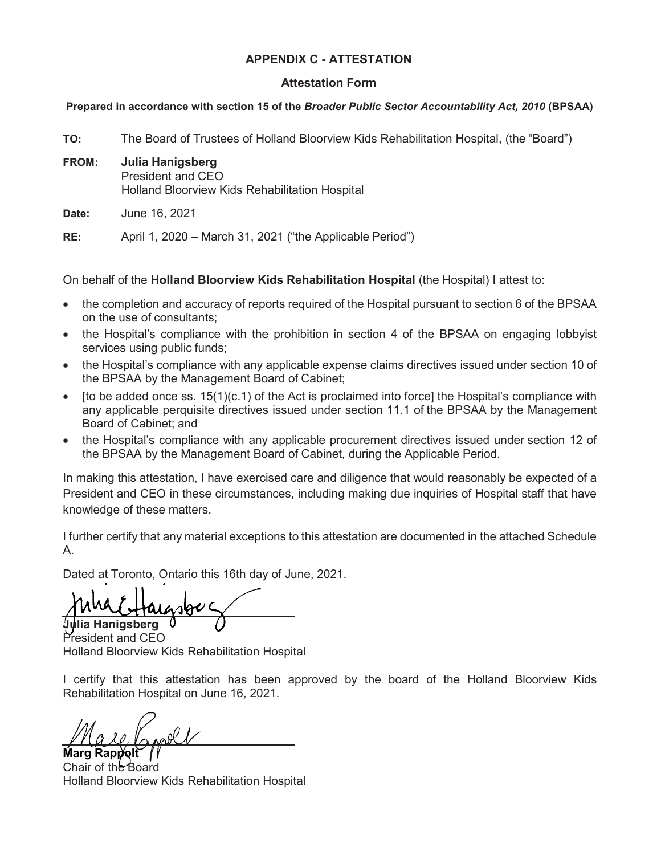## **APPENDIX C - ATTESTATION**

## **Attestation Form**

## **Prepared in accordance with section 15 of the** *Broader Public Sector Accountability Act, 2010* **(BPSAA)**

**TO:** The Board of Trustees of Holland Bloorview Kids Rehabilitation Hospital, (the "Board") **FROM: Julia Hanigsberg** President and CEO Holland Bloorview Kids Rehabilitation Hospital **Date:** June 16, 2021 **RE:** April 1, 2020 – March 31, 2021 ("the Applicable Period")

On behalf of the **Holland Bloorview Kids Rehabilitation Hospital** (the Hospital) I attest to:

- the completion and accuracy of reports required of the Hospital pursuant to section 6 of the BPSAA on the use of consultants;
- the Hospital's compliance with the prohibition in section 4 of the BPSAA on engaging lobbyist services using public funds;
- the Hospital's compliance with any applicable expense claims directives issued under section 10 of the BPSAA by the Management Board of Cabinet;
- [to be added once ss. 15(1)(c.1) of the Act is proclaimed into force] the Hospital's compliance with any applicable perquisite directives issued under section 11.1 of the BPSAA by the Management Board of Cabinet; and
- the Hospital's compliance with any applicable procurement directives issued under section 12 of the BPSAA by the Management Board of Cabinet, during the Applicable Period.

In making this attestation, I have exercised care and diligence that would reasonably be expected of a President and CEO in these circumstances, including making due inquiries of Hospital staff that have knowledge of these matters.

I further certify that any material exceptions to this attestation are documented in the attached Schedule A.

Dated at Toronto, Ontario this 16th day of June, 2021.

**Hanigsberg** 

President and CEO Holland Bloorview Kids Rehabilitation Hospital

I certify that this attestation has been approved by the board of the Holland Bloorview Kids Rehabilitation Hospital on June 16, 2021.

Marg Rapp**i**s Chair of the Board Holland Bloorview Kids Rehabilitation Hospital